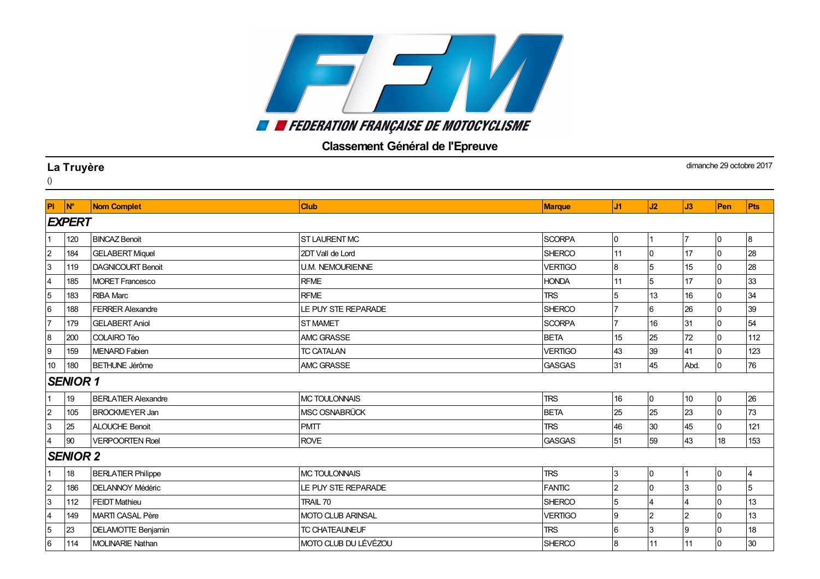## **EN ENTERATION FRANÇAISE DE MOTOCYCLISME**

## Classement Général de l'Epreuve

|                | La Truyère           |                            |                          |                |                |                 |                  |                | dimanche 29 octobre 2017 |
|----------------|----------------------|----------------------------|--------------------------|----------------|----------------|-----------------|------------------|----------------|--------------------------|
| $\theta$       |                      |                            |                          |                |                |                 |                  |                |                          |
| PI             | $\mathsf{N}^{\circ}$ | <b>Nom Complet</b>         | <b>Club</b>              | <b>Marque</b>  | J1             | J2              | J3               | Pen            | Pts                      |
|                | <b>EXPERT</b>        |                            |                          |                |                |                 |                  |                |                          |
|                | 120                  | <b>BINCAZ Benoit</b>       | <b>ST LAURENT MC</b>     | <b>SCORPA</b>  | 0              |                 |                  | 10             | 8                        |
| $\overline{2}$ | 184                  | <b>GELABERT Miquel</b>     | 2DT Vall de Lord         | <b>SHERCO</b>  | 11             | $\overline{0}$  | 17               | <sup>0</sup>   | 28                       |
| 3              | 119                  | DAGNICOURT Benoit          | <b>U.M. NEMOURIENNE</b>  | <b>VERTIGO</b> | 8              | 5               | 15               | 10             | 28                       |
| $\overline{4}$ | 185                  | <b>MORET Francesco</b>     | <b>RFME</b>              | <b>HONDA</b>   | 11             | 5               | 17               | $\overline{0}$ | 33                       |
| 5              | 183                  | <b>RIBA Marc</b>           | <b>RFME</b>              | <b>TRS</b>     | 5              | 13              | 16               | <sup>0</sup>   | 34                       |
| 6              | 188                  | <b>FERRER Alexandre</b>    | LE PUY STE REPARADE      | <b>SHERCO</b>  | $\overline{7}$ | $6\phantom{1}6$ | 26               | <sup>0</sup>   | 39                       |
| $\overline{7}$ | 179                  | <b>GELABERT Aniol</b>      | <b>ST MAMET</b>          | <b>SCORPA</b>  |                | 16              | 31               | $\overline{0}$ | 54                       |
| 8              | 200                  | COLAIRO Téo                | <b>AMC GRASSE</b>        | <b>BETA</b>    | 15             | 25              | 72               | <sup>0</sup>   | 112                      |
| 9              | 159                  | <b>MENARD Fabien</b>       | <b>TC CATALAN</b>        | <b>VERTIGO</b> | 43             | 39              | 41               | l0.            | 123                      |
| 10             | 180                  | <b>BETHUNE Jérôme</b>      | AMC GRASSE               | <b>GASGAS</b>  | 31             | 45              | Abd.             | 0              | 76                       |
|                | <b>SENIOR 1</b>      |                            |                          |                |                |                 |                  |                |                          |
|                | 19                   | <b>BERLATIER Alexandre</b> | MC TOULONNAIS            | <b>TRS</b>     | 16             | 0               | 10               | l0             | 26                       |
| $\overline{2}$ | 105                  | <b>BROCKMEYER Jan</b>      | MSC OSNABRÜCK            | <b>BETA</b>    | 25             | 25              | 23               | $\overline{0}$ | 73                       |
| 3              | 25                   | <b>ALOUCHE Benoit</b>      | <b>PMTT</b>              | <b>TRS</b>     | 46             | 30              | 45               | l0.            | 121                      |
| $\overline{4}$ | 90                   | <b>VERPOORTEN Roel</b>     | <b>ROVE</b>              | <b>GASGAS</b>  | 51             | 59              | 43               | 18             | 153                      |
|                | <b>SENIOR 2</b>      |                            |                          |                |                |                 |                  |                |                          |
|                | 18                   | <b>BERLATIER Philippe</b>  | <b>MC TOULONNAIS</b>     | <b>TRS</b>     | $\mathbf{3}$   | 0               |                  | 10             | 4                        |
| $\overline{2}$ | 186                  | <b>DELANNOY Médéric</b>    | LE PUY STE REPARADE      | <b>FANTIC</b>  | $\overline{2}$ | $\pmb{0}$       | 3                | $\overline{0}$ | $\overline{5}$           |
| 3              | 112                  | <b>FEIDT Mathieu</b>       | TRAIL 70                 | <b>SHERCO</b>  | 5              | $\overline{4}$  | $\boldsymbol{4}$ | <sup>0</sup>   | 13                       |
| $\overline{4}$ | 149                  | <b>MARTI CASAL Père</b>    | <b>MOTO CLUB ARINSAL</b> | <b>VERTIGO</b> | Ι9             | $\overline{2}$  | 2                | l0             | 13                       |
| 5              | 23                   | <b>DELAMOTTE Benjamin</b>  | <b>TC CHATEAUNEUF</b>    | <b>TRS</b>     | 6              | 3               | Ι9               | $\overline{0}$ | 18                       |
| 6              | 114                  | <b>MOLINARIE Nathan</b>    | MOTO CLUB DU LÉVÉZOU     | <b>SHERCO</b>  | 8              | 11              | 11               | 0              | 30                       |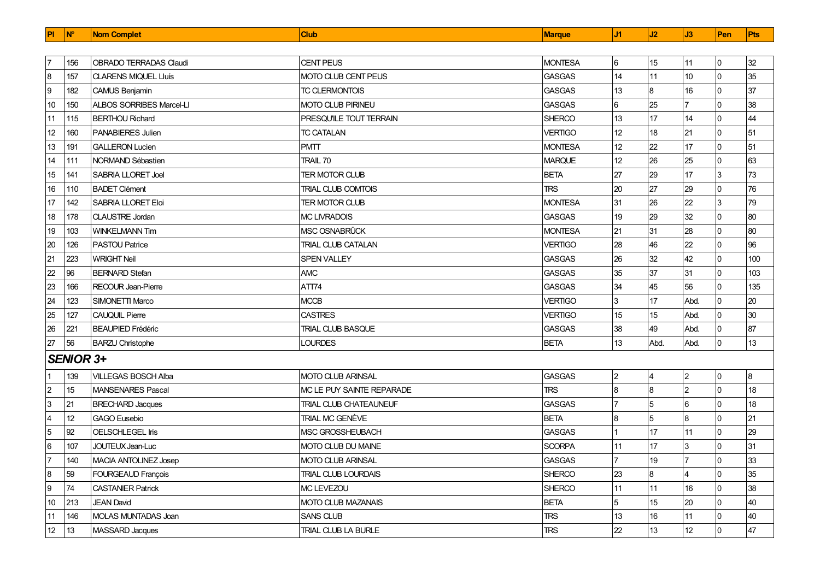| <b>PI</b>      | <b>N°</b>        | <b>Nom Complet</b>              | <b>Club</b>                | <b>Marque</b>  | J1              | J2       | J3             | Pen            | <b>Pts</b> |
|----------------|------------------|---------------------------------|----------------------------|----------------|-----------------|----------|----------------|----------------|------------|
|                |                  |                                 |                            |                |                 |          |                |                |            |
|                | 156              | <b>OBRADO TERRADAS Claudi</b>   | <b>CENT PEUS</b>           | <b>MONTESA</b> | 6               | 15       | 11             | 0              | 32         |
| 8              | 157              | <b>CLARENS MIQUEL LIuís</b>     | <b>MOTO CLUB CENT PEUS</b> | <b>GASGAS</b>  | 14              | 11       | 10             | $\overline{0}$ | 35         |
| 9              | 182              | CAMUS Benjamin                  | <b>TC CLERMONTOIS</b>      | <b>GASGAS</b>  | 13              | $\bf{8}$ | 16             | 0              | 37         |
| 10             | 150              | <b>ALBOS SORRIBES Marcel-LI</b> | <b>MOTO CLUB PIRINEU</b>   | <b>GASGAS</b>  | 6               | 25       | 17             | 0              | 38         |
| 11             | 115              | <b>BERTHOU Richard</b>          | PRESQU'ILE TOUT TERRAIN    | <b>SHERCO</b>  | 13              | 17       | 14             | 0              | 44         |
| 12             | 160              | <b>PANABIERES Julien</b>        | <b>TC CATALAN</b>          | <b>VERTIGO</b> | 12              | 18       | 21             | 0              | 51         |
| 13             | 191              | <b>GALLERON Lucien</b>          | <b>PMTT</b>                | <b>MONTESA</b> | 12 <sup>2</sup> | 22       | 17             | 0              | 51         |
| 14             | 111              | NORMAND Sébastien               | <b>TRAIL 70</b>            | <b>MARQUE</b>  | 12 <sup>°</sup> | 26       | 25             | 0              | 63         |
| 15             | 141              | <b>SABRIA LLORET Joel</b>       | <b>TER MOTOR CLUB</b>      | <b>BETA</b>    | 27              | 29       | 17             | 3              | 73         |
| 16             | 110              | <b>BADET Clément</b>            | <b>TRIAL CLUB COMTOIS</b>  | <b>TRS</b>     | 20              | 27       | 29             | 0              | 76         |
| 17             | 142              | <b>SABRIA LLORET Eloi</b>       | <b>TER MOTOR CLUB</b>      | <b>MONTESA</b> | 31              | 26       | 22             | 3              | 79         |
| 18             | 178              | <b>ICLAUSTRE Jordan</b>         | <b>MC LIVRADOIS</b>        | <b>GASGAS</b>  | 19              | 29       | 32             | 0              | 80         |
| 19             | 103              | <b>WINKELMANN Tim</b>           | MSC OSNABRÜCK              | <b>MONTESA</b> | 21              | 31       | 28             | 0              | 80         |
| 20             | 126              | <b>PASTOU Patrice</b>           | <b>TRIAL CLUB CATALAN</b>  | VERTIGO        | 28              | 46       | 22             | 0              | 96         |
| 21             | 223              | <b>WRIGHT Neil</b>              | SPEN VALLEY                | <b>GASGAS</b>  | 26              | 32       | 42             | 0              | 100        |
| 22             | 96               | <b>BERNARD Stefan</b>           | <b>AMC</b>                 | <b>GASGAS</b>  | 35              | 37       | 31             | 0              | 103        |
| 23             | 166              | RECOUR Jean-Pierre              | ATT74                      | <b>GASGAS</b>  | 34              | 45       | 56             | 0              | 135        |
| 24             | 123              | SIMONETTI Marco                 | <b>MCCB</b>                | <b>VERTIGO</b> | 3               | 17       | Abd.           | 0              | 20         |
| 25             | 127              | <b>CAUQUIL Pierre</b>           | <b>CASTRES</b>             | <b>VERTIGO</b> | 15              | 15       | Abd.           | 0              | 30         |
| 26             | 221              | <b>BEAUPIED Frédéric</b>        | <b>TRIAL CLUB BASQUE</b>   | <b>GASGAS</b>  | 38              | 49       | Abd.           | 0              | 87         |
| 27             | 56               | <b>BARZU Christophe</b>         | <b>LOURDES</b>             | <b>BETA</b>    | 13              | Abd.     | Abd.           | 0              | 13         |
|                | <b>SENIOR 3+</b> |                                 |                            |                |                 |          |                |                |            |
|                | 139              | <b>VILLEGAS BOSCH Alba</b>      | <b>MOTO CLUB ARINSAL</b>   | <b>GASGAS</b>  | $\overline{2}$  | 4        | $\overline{2}$ | 0              | 8          |
| $\overline{2}$ | 15               | <b>MANSENARES Pascal</b>        | MC LE PUY SAINTE REPARADE  | <b>TRS</b>     | 8               | $\bf{8}$ | $\overline{2}$ | $\Omega$       | 18         |
| 3              | 21               | <b>BRECHARD Jacques</b>         | TRIAL CLUB CHATEAUNEUF     | <b>GASGAS</b>  |                 | 5        | 6              | 0              | 18         |
| $\overline{4}$ | 12               | <b>GAGO Eusebio</b>             | TRIAL MC GENÈVE            | <b>BETA</b>    | 8               | 5        | $\overline{8}$ | 0              | 21         |
| 5              | 92               | <b>OELSCHLEGEL Iris</b>         | <b>MSC GROSSHEUBACH</b>    | <b>GASGAS</b>  |                 | 17       | 11             | 0              | 29         |
| 6              | 107              | JOUTEUX Jean-Luc                | MOTO CLUB DU MAINE         | <b>SCORPA</b>  | 11              | 17       | $\overline{3}$ | $\Omega$       | 31         |
|                | 140              | MACIA ANTOLINEZ Josep           | <b>MOTO CLUB ARINSAL</b>   | <b>GASGAS</b>  |                 | 19       | 17             | $\Omega$       | 33         |
| 8              | 59               | FOURGEAUD François              | TRIAL CLUB LOURDAIS        | <b>SHERCO</b>  | 23              | 8        | $\overline{4}$ | $\Omega$       | 35         |
| 9              | 74               | <b>CASTANIER Patrick</b>        | MC LEVEZOU                 | <b>SHERCO</b>  | 11              | 11       | 16             | $\Omega$       | 38         |
| 10             | 213              | <b>JEAN David</b>               | <b>MOTO CLUB MAZANAIS</b>  | <b>BETA</b>    | 5               | 15       | 20             | 0              | 40         |
| 11             | 146              | <b>MOLAS MUNTADAS Joan</b>      | <b>SANS CLUB</b>           | <b>TRS</b>     | 13              | 16       | 11             | 0              | 40         |
| 12             | 13               | <b>MASSARD Jacques</b>          | <b>TRIAL CLUB LA BURLE</b> | <b>TRS</b>     | 22              | 13       | 12             | 0              | 47         |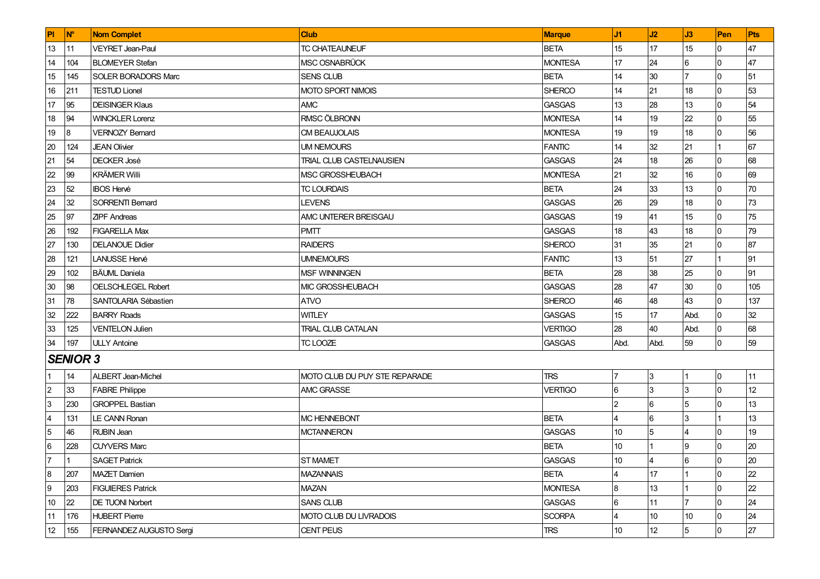| PI              | <b>N°</b>       | <b>Nom Complet</b>         | <b>Club</b>                     | <b>Marque</b>  | J1              | J2              | J3             | Pen | <b>Pts</b> |
|-----------------|-----------------|----------------------------|---------------------------------|----------------|-----------------|-----------------|----------------|-----|------------|
| 13              | 11              | <b>VEYRET Jean-Paul</b>    | TC CHATEAUNEUF                  | <b>BETA</b>    | 15              | 17              | 15             | 0   | 47         |
| 14              | 104             | <b>BLOMEYER Stefan</b>     | MSC OSNABRÜCK                   | <b>MONTESA</b> | 17              | 24              | 6              |     | 47         |
| 15              | 145             | <b>SOLER BORADORS Marc</b> | <b>SENS CLUB</b>                | <b>BETA</b>    | 14              | 30              | 17             |     | 51         |
| 16              | 211             | <b>TESTUD Lionel</b>       | <b>MOTO SPORT NIMOIS</b>        | <b>SHERCO</b>  | 14              | 21              | 18             |     | 53         |
| 17              | 95              | <b>DEISINGER Klaus</b>     | AMC                             | <b>GASGAS</b>  | 13              | 28              | 13             |     | 54         |
| 18              | 94              | <b>WINCKLER Lorenz</b>     | RMSC ÖLBRONN                    | <b>MONTESA</b> | 14              | 19              | 22             |     | 55         |
| 19              | 8               | <b>VERNOZY Bernard</b>     | <b>CM BEAUJOLAIS</b>            | <b>MONTESA</b> | 19              | 19              | 18             |     | 56         |
| 20              | 124             | <b>JEAN Olivier</b>        | UM NEMOURS                      | <b>FANTIC</b>  | 14              | 32              | 21             |     | 67         |
| 21              | 54              | <b>DECKER José</b>         | <b>TRIAL CLUB CASTELNAUSIEN</b> | <b>GASGAS</b>  | 24              | 18              | 26             |     | 68         |
| 22              | 99              | <b>KRÄMER Willi</b>        | MSC GROSSHEUBACH                | <b>MONTESA</b> | 21              | 32              | 16             |     | 69         |
| 23              | 52              | <b>IBOS Hervé</b>          | <b>TC LOURDAIS</b>              | <b>BETA</b>    | 24              | 33              | 13             |     | 70         |
| 24              | 32              | SORRENTI Bernard           | LEVENS                          | <b>GASGAS</b>  | 26              | 29              | 18             |     | 73         |
| 25              | 97              | <b>ZIPF Andreas</b>        | AMC UNTERER BREISGAU            | <b>GASGAS</b>  | 19              | 41              | 15             |     | 75         |
| 26              | 192             | <b>FIGARELLA Max</b>       | <b>PMTT</b>                     | <b>GASGAS</b>  | 18              | 43              | 18             |     | 79         |
| 27              | 130             | <b>DELANOUE Didier</b>     | <b>RAIDER'S</b>                 | <b>SHERCO</b>  | 31              | 35              | 21             |     | 87         |
| 28              | 121             | <b>LANUSSE Hervé</b>       | <b>UMNEMOURS</b>                | <b>FANTIC</b>  | 13              | 51              | 27             |     | 91         |
| 29              | 102             | <b>BÄUML</b> Daniela       | MSF WINNINGEN                   | <b>BETA</b>    | 28              | 38              | 25             |     | 91         |
| 30              | 98              | <b>OELSCHLEGEL Robert</b>  | MIC GROSSHEUBACH                | <b>GASGAS</b>  | 28              | 47              | 30             |     | 105        |
| 31              | 78              | SANTOLARIA Sébastien       | <b>ATVO</b>                     | <b>SHERCO</b>  | 46              | 48              | 43             |     | 137        |
| 32              | 222             | <b>BARRY Roads</b>         | <b>WITLEY</b>                   | <b>GASGAS</b>  | 15              | 17              | Abd.           |     | 32         |
| 33              | 125             | <b>VENTELON Julien</b>     | TRIAL CLUB CATALAN              | <b>VERTIGO</b> | 28              | 40              | Abd.           |     | 68         |
| 34              | 197             | <b>ULLY Antoine</b>        | TC LOOZE                        | <b>GASGAS</b>  | Abd.            | Abd.            | 59             | IO. | 59         |
|                 | <b>SENIOR 3</b> |                            |                                 |                |                 |                 |                |     |            |
|                 | 14              | ALBERT Jean-Michel         | MOTO CLUB DU PUY STE REPARADE   | <b>TRS</b>     | 17              | 3               | Ι1             | 10  | 11         |
| $\overline{2}$  | 33              | <b>FABRE Philippe</b>      | AMC GRASSE                      | <b>VERTIGO</b> | 6               | 3               | l3             |     | 12         |
| 3               | 230             | <b>GROPPEL Bastian</b>     |                                 |                | $\overline{2}$  | 6               | 5              |     | 13         |
| $\overline{4}$  | 131             | <b>LE CANN Ronan</b>       | <b>MC HENNEBONT</b>             | <b>BETA</b>    | $\overline{4}$  | 6               | l3             |     | 13         |
| $\overline{5}$  | 46              | <b>RUBIN Jean</b>          | <b>MCTANNERON</b>               | <b>GASGAS</b>  | 10              | 5               | $\overline{4}$ |     | 19         |
| $6\phantom{.}6$ | 228             | <b>CUYVERS Marc</b>        |                                 | <b>BETA</b>    | 10 <sup>°</sup> |                 | 9              |     | 20         |
| $\overline{7}$  |                 | <b>SAGET Patrick</b>       | ST MAMET                        | GASGAS         | 10              |                 | 6              |     | 20         |
| 8               | 207             | <b>MAZET Damien</b>        | <b>MAZANNAIS</b>                | <b>BETA</b>    | 4               | 17              |                | l0. | 22         |
| $\overline{9}$  | 203             | <b>FIGUIERES Patrick</b>   | MAZAN                           | <b>MONTESA</b> | 8               | 13              |                |     | 22         |
| 10              | 22              | <b>DE TUONI Norbert</b>    | SANS CLUB                       | GASGAS         | 6               | 11              | 17             |     | 24         |
| 11              | 176             | <b>HUBERT Pierre</b>       | MOTO CLUB DU LIVRADOIS          | <b>SCORPA</b>  | $\overline{4}$  | 10 <sup>°</sup> | 10             |     | 24         |
| 12              | 155             | FERNANDEZ AUGUSTO Sergi    | <b>CENT PEUS</b>                | <b>TRS</b>     | 10 <sup>°</sup> | 12              | 5              | 0   | 27         |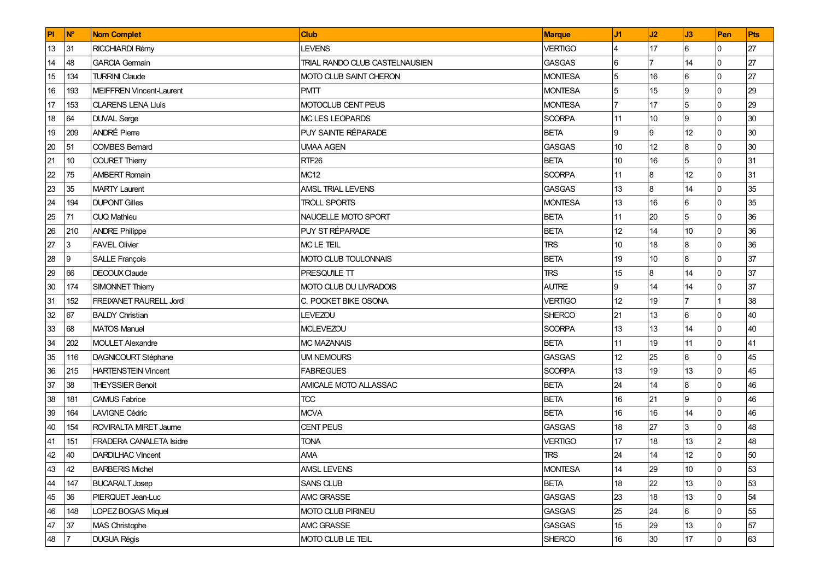| PI | <b>N°</b>      | <b>Nom Complet</b>             | <b>Club</b>                    | <b>Marque</b>  | J1              | J2             | J3   | Pen            | Pts |
|----|----------------|--------------------------------|--------------------------------|----------------|-----------------|----------------|------|----------------|-----|
| 13 | 31             | RICCHIARDI Rémy                | <b>LEVENS</b>                  | <b>VERTIGO</b> | 4               | 17             | 6    | <sup>0</sup>   | 27  |
| 14 | 48             | <b>GARCIA Germain</b>          | TRIAL RANDO CLUB CASTELNAUSIEN | <b>GASGAS</b>  | 6               | 7              | 14   | <sup>0</sup>   | 27  |
| 15 | 134            | <b>TURRINI Claude</b>          | MOTO CLUB SAINT CHERON         | <b>MONTESA</b> | 5               | 16             | 6    |                | 27  |
| 16 | 193            | MEIFFREN Vincent-Laurent       | <b>PMTT</b>                    | <b>MONTESA</b> | 5               | 15             | 9    |                | 29  |
| 17 | 153            | <b>CLARENS LENA Lluis</b>      | MOTOCLUB CENT PEUS             | <b>MONTESA</b> | $\overline{7}$  | 17             | 5    |                | 29  |
| 18 | 64             | <b>DUVAL</b> Serge             | MC LES LEOPARDS                | SCORPA         | 11              | 10             | 9    | $\Omega$       | 30  |
| 19 | 209            | <b>ANDRÉ Pierre</b>            | PUY SAINTE RÉPARADE            | <b>BETA</b>    | Ι9              | 9              | 12   |                | 30  |
| 20 | 51             | <b>COMBES Bernard</b>          | <b>UMAA AGEN</b>               | <b>GASGAS</b>  | 10 <sup>°</sup> | 12             | 8    |                | 30  |
| 21 | 10             | <b>COURET Thierry</b>          | RTF <sub>26</sub>              | <b>BETA</b>    | 10              | 16             | 5    |                | 31  |
| 22 | 75             | <b>AMBERT Romain</b>           | <b>MC12</b>                    | <b>SCORPA</b>  | 11              | $\bf{8}$       | 12   |                | 31  |
| 23 | 35             | MARTY Laurent                  | AMSL TRIAL LEVENS              | <b>GASGAS</b>  | 13              | $\overline{8}$ | 14   |                | 35  |
| 24 | 194            | <b>DUPONT Gilles</b>           | <b>TROLL SPORTS</b>            | <b>MONTESA</b> | 13              | 16             | 6    |                | 35  |
| 25 | 71             | <b>CUO Mathieu</b>             | NAUCELLE MOTO SPORT            | <b>BETA</b>    | 11              | 20             | 5    |                | 36  |
| 26 | 210            | <b>ANDRE Philippe</b>          | PUY ST RÉPARADE                | <b>BETA</b>    | 12              | 14             | 10   |                | 36  |
| 27 | 3              | <b>FAVEL Olivier</b>           | <b>MC LE TEIL</b>              | <b>TRS</b>     | 10              | 18             | 8    |                | 36  |
| 28 | 9              | SALLE François                 | MOTO CLUB TOULONNAIS           | <b>BETA</b>    | 19              | 10             | 8    |                | 37  |
| 29 | 66             | DECOUX Claude                  | PRESQU'ILE TT                  | <b>TRS</b>     | 15              | $\bf{8}$       | 14   |                | 37  |
| 30 | 174            | SIMONNET Thierry               | MOTO CLUB DU LIVRADOIS         | <b>AUTRE</b>   | Ι9              | 14             | 14   |                | 37  |
| 31 | 152            | FREIXANET RAURELL Jordi        | C. POCKET BIKE OSONA.          | <b>VERTIGO</b> | 12              | 19             |      |                | 38  |
| 32 | 67             | <b>BALDY Christian</b>         | <b>LEVEZOU</b>                 | SHERCO         | 21              | 13             | 6    |                | 40  |
| 33 | 68             | <b>MATOS Manuel</b>            | <b>MCLEVEZOU</b>               | <b>SCORPA</b>  | 13              | 13             | 14   | $\Omega$       | 40  |
| 34 | 202            | <b>MOULET Alexandre</b>        | <b>MC MAZANAIS</b>             | <b>BETA</b>    | 11              | 19             | 11   | ח              | 41  |
| 35 | 116            | <b>DAGNICOURT Stéphane</b>     | <b>UM NEMOURS</b>              | <b>GASGAS</b>  | 12              | 25             | 8    |                | 45  |
| 36 | 215            | <b>HARTENSTEIN Vincent</b>     | <b>FABREGUES</b>               | <b>SCORPA</b>  | 13              | 19             | 13   |                | 45  |
| 37 | 38             | <b>THEYSSIER Benoit</b>        | AMICALE MOTO ALLASSAC          | <b>BETA</b>    | 24              | 14             | 8    |                | 46  |
| 38 | 181            | <b>CAMUS Fabrice</b>           | <b>TCC</b>                     | <b>BETA</b>    | 16              | 21             | 9    | $\Omega$       | 46  |
| 39 | 164            | <b>LAVIGNE Cédric</b>          | <b>MCVA</b>                    | <b>BETA</b>    | 16              | 16             | 14   | n              | 46  |
| 40 | 154            | <b>ROVIRALTA MIRET Jaume</b>   | <b>CENT PEUS</b>               | <b>GASGAS</b>  | 18              | 27             | 3    |                | 48  |
| 41 | 151            | <b>FRADERA CANALETA Isidre</b> | <b>TONA</b>                    | <b>VERTIGO</b> | 17              | 18             | 13   |                | 48  |
| 42 | 40             | <b>DARDILHAC VIncent</b>       | <b>AMA</b>                     | <b>TRS</b>     | 24              | 14             | 12   |                | 50  |
| 43 | 42             | <b>BARBERIS Michel</b>         | <b>AMSL LEVENS</b>             | <b>MONTESA</b> | 14              | 29             | $10$ | 0              | 53  |
| 44 | 147            | <b>BUCARALT Josep</b>          | SANS CLUB                      | <b>BETA</b>    | 18              | 22             | 13   |                | 53  |
| 45 | 36             | PIERQUET Jean-Luc              | AMC GRASSE                     | <b>GASGAS</b>  | 23              | 18             | 13   |                | 54  |
| 46 | 148            | LOPEZ BOGAS Miquel             | MOTO CLUB PIRINEU              | <b>GASGAS</b>  | 25              | 24             | 6    |                | 55  |
| 47 | 37             | <b>MAS Christophe</b>          | AMC GRASSE                     | <b>GASGAS</b>  | 15              | 29             | 13   |                | 57  |
| 48 | $\overline{7}$ | <b>DUGUA Régis</b>             | MOTO CLUB LE TEIL              | SHERCO         | 16              | 30             | 17   | $\overline{0}$ | 63  |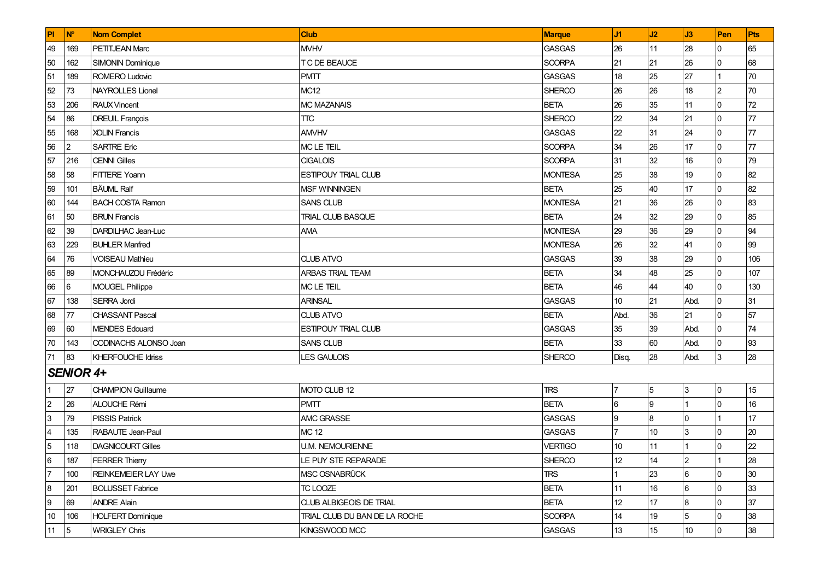| PI                      | $\mathsf{N}^{\circ}$ | <b>Nom Complet</b>         | <b>Club</b>                    | Marque         | J1             | J2  | J3             | Pen            | Pts |
|-------------------------|----------------------|----------------------------|--------------------------------|----------------|----------------|-----|----------------|----------------|-----|
| 49                      | 169                  | PETITJEAN Marc             | <b>MVHV</b>                    | <b>GASGAS</b>  | 26             | 111 | 28             | l0             | 65  |
| 50                      | 162                  | <b>SIMONIN Dominique</b>   | T C DE BEAUCE                  | <b>SCORPA</b>  | 21             | 21  | 26             | $\overline{0}$ | 68  |
| 51                      | 189                  | ROMERO Ludovic             | <b>PMTT</b>                    | GASGAS         | 18             | 25  | 27             |                | 70  |
| 52                      | 73                   | <b>NAYROLLES Lionel</b>    | MC12                           | <b>SHERCO</b>  | 26             | 26  | 18             | $\overline{2}$ | 70  |
| 53                      | 206                  | <b>RAUX</b> Vincent        | MC MAZANAIS                    | <b>BETA</b>    | 26             | 35  | 11             | $\overline{0}$ | 72  |
| 54                      | 86                   | <b>DREUIL François</b>     | <b>TTC</b>                     | SHERCO         | 22             | 34  | 21             | $\Omega$       | 77  |
| 55                      | 168                  | <b>XOLIN Francis</b>       | <b>AMVHV</b>                   | <b>GASGAS</b>  | 22             | 31  | 24             | $\Omega$       | 77  |
| 56                      | $\overline{2}$       | <b>SARTRE Eric</b>         | <b>MCLETEIL</b>                | <b>SCORPA</b>  | 34             | 26  | 17             | l <sub>0</sub> | 77  |
| 57                      | 216                  | <b>CENNI Gilles</b>        | <b>CIGALOIS</b>                | <b>SCORPA</b>  | 31             | 32  | 16             | <sup>0</sup>   | 79  |
| 58                      | 58                   | <b>FITTERE Yoann</b>       | ESTIPOUY TRIAL CLUB            | <b>MONTESA</b> | 25             | 38  | 19             | $\overline{0}$ | 82  |
| 59                      | 101                  | <b>BÄUML Ralf</b>          | <b>MSF WINNINGEN</b>           | <b>BETA</b>    | 25             | 40  | 17             | $\Omega$       | 82  |
| 60                      | 144                  | <b>BACH COSTA Ramon</b>    | <b>SANS CLUB</b>               | <b>MONTESA</b> | 21             | 36  | 26             | l0             | 83  |
| 61                      | 50                   | <b>BRUN Francis</b>        | <b>TRIAL CLUB BASQUE</b>       | <b>BETA</b>    | 24             | 32  | 29             | <sup>0</sup>   | 85  |
| 62                      | 39                   | DARDILHAC Jean-Luc         | AMA                            | <b>MONTESA</b> | 29             | 36  | 29             |                | 94  |
| 63                      | 229                  | <b>BUHLER Manfred</b>      |                                | <b>MONTESA</b> | 26             | 32  | 41             | $\overline{0}$ | 99  |
| 64                      | 76                   | <b>VOISEAU Mathieu</b>     | <b>CLUB ATVO</b>               | <b>GASGAS</b>  | 39             | 38  | 29             | $\Omega$       | 106 |
| 65                      | 89                   | MONCHAUZOU Frédéric        | ARBAS TRIAL TEAM               | <b>BETA</b>    | 34             | 48  | 25             | $\Omega$       | 107 |
| 66                      | 6                    | <b>MOUGEL Philippe</b>     | MC LE TEIL                     | <b>BETA</b>    | 46             | 44  | 40             | l <sub>0</sub> | 130 |
| 67                      | 138                  | SERRA Jordi                | <b>ARINSAL</b>                 | GASGAS         | 10             | 21  | Abd.           | <sup>0</sup>   | 31  |
| 68                      | 77                   | <b>CHASSANT Pascal</b>     | <b>CLUB ATVO</b>               | <b>BETA</b>    | Abd.           | 36  | 21             | <sup>0</sup>   | 57  |
| 69                      | 60                   | <b>MENDES Edouard</b>      | ESTIPOUY TRIAL CLUB            | <b>GASGAS</b>  | 35             | 39  | Abd.           | $\Omega$       | 74  |
| 70                      | 143                  | CODINACHS ALONSO Joan      | <b>SANS CLUB</b>               | <b>BETA</b>    | 33             | 60  | Abd.           | <sup>0</sup>   | 93  |
| 71                      | 83                   | <b>KHERFOUCHE Idriss</b>   | <b>LES GAULOIS</b>             | <b>SHERCO</b>  | Disa.          | 28  | Abd.           | l3             | 28  |
|                         | <b>SENIOR 4+</b>     |                            |                                |                |                |     |                |                |     |
| 1                       | 27                   | <b>CHAMPION Guillaume</b>  | MOTO CLUB 12                   | <b>TRS</b>     | $\overline{7}$ | 5   | 3              | l0             | 15  |
| $\overline{2}$          | 26                   | <b>ALOUCHE Rémi</b>        | <b>PMTT</b>                    | <b>BETA</b>    | 6              | Ι9  |                | $\Omega$       | 16  |
| $\overline{3}$          | 79                   | <b>PISSIS Patrick</b>      | AMC GRASSE                     | <b>GASGAS</b>  | 9              | 8   | 0              |                | 17  |
| $\overline{\mathbf{4}}$ | 135                  | RABAUTE Jean-Paul          | MC 12                          | GASGAS         |                | 10  | 3              |                | 20  |
| $\overline{5}$          | 118                  | <b>DAGNICOURT Gilles</b>   | <b>U.M. NEMOURIENNE</b>        | <b>VERTIGO</b> | 10             | 11  |                | <sup>0</sup>   | 22  |
| 6                       | 187                  | <b>FERRER Thierry</b>      | LE PUY STE REPARADE            | <b>SHERCO</b>  | 12             | 14  | $\overline{2}$ |                | 28  |
| $\overline{7}$          | 100                  | <b>REINKEMEIER LAY Uwe</b> | MSC OSNABRÜCK                  | TRS            |                | 23  | 6              | 0              | 30  |
| $\bf 8$                 | 201                  | <b>BOLUSSET Fabrice</b>    | TC LOOZE                       | <b>BETA</b>    | 11             | 16  | 6              | 0              | 33  |
| $\boldsymbol{9}$        | 69                   | <b>ANDRE Alain</b>         | <b>CLUB ALBIGEOIS DE TRIAL</b> | <b>BETA</b>    | 12             | 17  | 8              |                | 37  |
| $10$                    | 106                  | <b>HOLFERT Dominique</b>   | TRIAL CLUB DU BAN DE LA ROCHE  | <b>SCORPA</b>  | 14             | 19  | 5              | $\overline{0}$ | 38  |
| 11                      | $\sqrt{5}$           | <b>WRIGLEY Chris</b>       | KINGSWOOD MCC                  | <b>GASGAS</b>  | 13             | 15  | $10\,$         | l0             | 38  |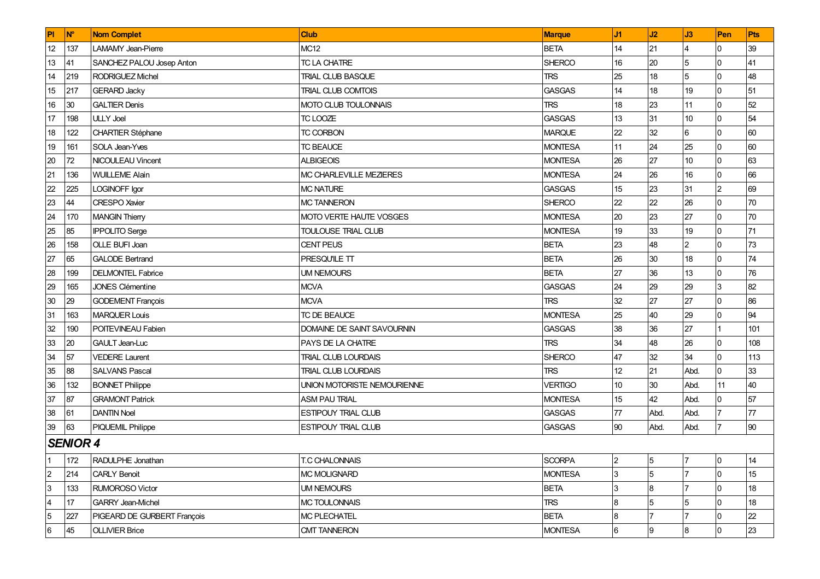| PI             | <b>N°</b>       | <b>Nom Complet</b>          | Club                        | Marque         | J1              | J2             | J3              | Pen            | Pts  |
|----------------|-----------------|-----------------------------|-----------------------------|----------------|-----------------|----------------|-----------------|----------------|------|
| 12             | 137             | LAMAMY Jean-Pierre          | <b>MC12</b>                 | <b>BETA</b>    | 14              | 21             |                 | $\overline{0}$ | 39   |
| 13             | 41              | SANCHEZ PALOU Josep Anton   | TC LA CHATRE                | <b>SHERCO</b>  | 16              | 20             | 5               | $\overline{0}$ | 41   |
| 14             | 219             | <b>RODRIGUEZ Michel</b>     | TRIAL CLUB BASQUE           | <b>TRS</b>     | 25              | 18             | 5               | $\overline{0}$ | 48   |
| 15             | 217             | <b>GERARD Jacky</b>         | <b>TRIAL CLUB COMTOIS</b>   | <b>GASGAS</b>  | 14              | 18             | 19              | $\overline{0}$ | 51   |
| 16             | 30              | <b>GALTIER Denis</b>        | MOTO CLUB TOULONNAIS        | <b>TRS</b>     | 18              | 23             | 11              | $\overline{0}$ | 52   |
| 17             | 198             | <b>ULLY Joel</b>            | TC LOOZE                    | <b>GASGAS</b>  | 13              | 31             | 10              | $\Omega$       | 54   |
| 18             | 122             | <b>CHARTIER Stéphane</b>    | <b>TC CORBON</b>            | <b>MARQUE</b>  | 22              | 32             | 6               | $\overline{0}$ | 60   |
| 19             | 161             | SOLA Jean-Yves              | <b>TC BEAUCE</b>            | <b>MONTESA</b> | 11              | 24             | 25              | $\overline{0}$ | 60   |
| 20             | 72              | NICOULEAU Vincent           | <b>ALBIGEOIS</b>            | <b>MONTESA</b> | 26              | 27             | 10 <sup>1</sup> | $\overline{0}$ | 63   |
| 21             | 136             | <b>WUILLEME Alain</b>       | MC CHARLEVILLE MEZIERES     | <b>MONTESA</b> | 24              | 26             | 16              | $\overline{0}$ | 66   |
| 22             | 225             | LOGINOFF Igor               | <b>MC NATURE</b>            | <b>GASGAS</b>  | 15              | 23             | 31              | 2              | 69   |
| 23             | 44              | <b>CRESPO</b> Xavier        | <b>MC TANNERON</b>          | <b>SHERCO</b>  | 22              | 22             | 26              | $\overline{0}$ | 70   |
| 24             | 170             | <b>MANGIN Thierry</b>       | MOTO VERTE HAUTE VOSGES     | <b>MONTESA</b> | 20              | 23             | 27              | $\overline{0}$ | 70   |
| 25             | 85              | <b>IPPOLITO Serge</b>       | <b>TOULOUSE TRIAL CLUB</b>  | <b>MONTESA</b> | 19              | 33             | 19              | $\overline{0}$ | 71   |
| 26             | 158             | <b>OLLE BUFI Joan</b>       | <b>CENT PEUS</b>            | <b>BETA</b>    | 23              | 48             | $\overline{2}$  | $\overline{0}$ | 73   |
| 27             | 65              | <b>GALODE Bertrand</b>      | PRESQU'ILE TT               | <b>BETA</b>    | 26              | 30             | 18              | $\overline{0}$ | 74   |
| 28             | 199             | <b>DELMONTEL Fabrice</b>    | <b>UM NEMOURS</b>           | <b>BETA</b>    | 27              | 36             | 13              | 0              | 76   |
| 29             | 165             | <b>JONES Clémentine</b>     | <b>MCVA</b>                 | <b>GASGAS</b>  | 24              | 29             | 29              | 3              | 82   |
| 30             | 29              | <b>GODEMENT François</b>    | <b>MCVA</b>                 | <b>TRS</b>     | 32              | 27             | 27              | $\overline{0}$ | 86   |
| 31             | 163             | <b>MARQUER Louis</b>        | TC DE BEAUCE                | <b>MONTESA</b> | 25              | 40             | 29              | $\overline{0}$ | 94   |
| 32             | 190             | POITEVINEAU Fabien          | DOMAINE DE SAINT SAVOURNIN  | <b>GASGAS</b>  | 38              | 36             | 27              |                | 101  |
| 33             | 20              | <b>GAULT Jean-Luc</b>       | PAYS DE LA CHATRE           | <b>TRS</b>     | 34              | 48             | 26              | 0              | 108  |
| 34             | 57              | <b>VEDERE Laurent</b>       | <b>TRIAL CLUB LOURDAIS</b>  | <b>SHERCO</b>  | 47              | 32             | 34              | $\overline{0}$ | 113  |
| 35             | 88              | <b>SALVANS Pascal</b>       | <b>TRIAL CLUB LOURDAIS</b>  | <b>TRS</b>     | 12              | 21             | Abd.            | $\overline{0}$ | 33   |
| 36             | 132             | <b>BONNET Philippe</b>      | UNION MOTORISTE NEMOURIENNE | <b>VERTIGO</b> | 10 <sup>°</sup> | 30             | Abd.            | 11             | 40   |
| 37             | 87              | <b>GRAMONT Patrick</b>      | <b>ASM PAU TRIAL</b>        | <b>MONTESA</b> | 15              | 42             | Abd.            | $\overline{0}$ | 57   |
| 38             | 61              | <b>DANTIN Noel</b>          | ESTIPOUY TRIAL CLUB         | <b>GASGAS</b>  | 77              | Abd.           | Abd.            |                | $77$ |
| 39             | 63              | <b>PIQUEMIL Philippe</b>    | <b>ESTIPOUY TRIAL CLUB</b>  | <b>GASGAS</b>  | 90              | Abd.           | Abd.            | $\overline{7}$ | 90   |
|                | <b>SENIOR 4</b> |                             |                             |                |                 |                |                 |                |      |
|                | 172             | RADULPHE Jonathan           | <b>T.C CHALONNAIS</b>       | <b>SCORPA</b>  | $\overline{2}$  | 5              | 7               | 0              | 14   |
| $\overline{2}$ | 214             | <b>CARLY Benoit</b>         | <b>MC MOLIGNARD</b>         | <b>MONTESA</b> | 3               | 5              |                 | $\overline{0}$ | 15   |
| 3              | 133             | <b>RUMOROSO Victor</b>      | <b>UM NEMOURS</b>           | <b>BETA</b>    | 3               | 8              |                 | 0              | 18   |
| 4              | 17              | <b>GARRY Jean-Michel</b>    | <b>MC TOULONNAIS</b>        | <b>TRS</b>     | 8               | 5              | 5               | $\overline{0}$ | 18   |
| $\overline{5}$ | 227             | PIGEARD DE GURBERT François | <b>MC PLECHATEL</b>         | <b>BETA</b>    | 8               | $\overline{7}$ |                 | 0              | 22   |
| 6              | 45              | <b>OLLIVIER Brice</b>       | <b>CMT TANNERON</b>         | <b>MONTESA</b> | 6               | 9              | 8               | 0              | 23   |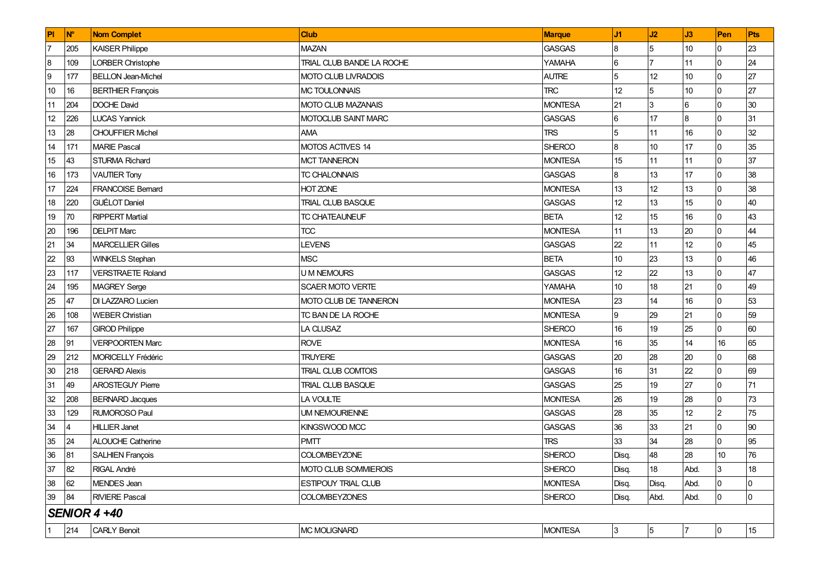| PI               | <b>N°</b> | <b>Nom Complet</b>        | <b>Club</b>                  | Marque         | J1             | J2         | J3   | Pen            | Pts            |
|------------------|-----------|---------------------------|------------------------------|----------------|----------------|------------|------|----------------|----------------|
| $\overline{7}$   | 205       | <b>KAISER Philippe</b>    | <b>MAZAN</b>                 | <b>GASGAS</b>  | 8              | 5          | 10   | l0             | 23             |
| 8                | 109       | <b>LORBER Christophe</b>  | TRIAL CLUB BANDE LA ROCHE    | <b>YAMAHA</b>  | 6              |            | 11   | l0             | 24             |
| $\boldsymbol{9}$ | 177       | <b>BELLON Jean-Michel</b> | MOTO CLUB LIVRADOIS          | <b>AUTRE</b>   | 5              | 12         | 10   | <sup>0</sup>   | 27             |
| 10               | 16        | <b>BERTHIER François</b>  | MC TOULONNAIS                | <b>TRC</b>     | 12             | 5          | 10   | <sup>0</sup>   | 27             |
| 11               | 204       | DOCHE David               | MOTO CLUB MAZANAIS           | <b>MONTESA</b> | 21             | l3         | 6    | $\Omega$       | 30             |
| 12               | 226       | <b>LUCAS Yannick</b>      | MOTOCLUB SAINT MARC          | <b>GASGAS</b>  | 6              | 17         | 8    | <sup>0</sup>   | 31             |
| 13               | 28        | <b>CHOUFFIER Michel</b>   | <b>AMA</b>                   | <b>TRS</b>     | 5              | 11         | 16   | <sup>0</sup>   | 32             |
| 14               | 171       | <b>MARIE Pascal</b>       | MOTOS ACTIVES 14             | SHERCO         | $\overline{8}$ | 10         | 17   | <sup>0</sup>   | 35             |
| 15               | 43        | <b>STURMA Richard</b>     | <b>MCT TANNERON</b>          | <b>MONTESA</b> | 15             | 11         | 11   | <sup>0</sup>   | 37             |
| 16               | 173       | <b>VAUTIER Tony</b>       | TC CHALONNAIS                | <b>GASGAS</b>  | 8              | 13         | 17   | 0              | 38             |
| 17               | 224       | <b>FRANCOISE Bernard</b>  | HOT ZONE                     | <b>MONTESA</b> | 13             | 12         | 13   | <sup>0</sup>   | 38             |
| 18               | 220       | <b>GUÉLOT Daniel</b>      | <b>TRIAL CLUB BASQUE</b>     | <b>GASGAS</b>  | 12             | 13         | 15   | <sup>0</sup>   | 40             |
| 19               | 70        | <b>RIPPERT Martial</b>    | TC CHATEAUNEUF               | <b>BETA</b>    | 12             | 15         | 16   | <sup>0</sup>   | 43             |
| 20               | 196       | <b>DELPIT Marc</b>        | <b>TCC</b>                   | <b>MONTESA</b> | 11             | 13         | 20   | <sup>0</sup>   | 44             |
| 21               | 34        | <b>MARCELLIER Gilles</b>  | <b>LEVENS</b>                | <b>GASGAS</b>  | 22             | 11         | 12   | <sup>0</sup>   | 45             |
| 22               | 93        | <b>WINKELS Stephan</b>    | <b>MSC</b>                   | <b>BETA</b>    | 10             | 23         | 13   | <sup>0</sup>   | 46             |
| 23               | 117       | VERSTRAETE Roland         | <b>U M NEMOURS</b>           | <b>GASGAS</b>  | 12             | 22         | 13   | <sup>0</sup>   | 47             |
| 24               | 195       | <b>MAGREY Serge</b>       | <b>SCAER MOTO VERTE</b>      | <b>YAMAHA</b>  | 10             | 18         | 21   | <sup>0</sup>   | 49             |
| 25               | 47        | DI LAZZARO Lucien         | <b>MOTO CLUB DE TANNERON</b> | <b>MONTESA</b> | 23             | 14         | 16   | <sup>0</sup>   | 53             |
| 26               | 108       | <b>WEBER Christian</b>    | TC BAN DE LA ROCHE           | <b>MONTESA</b> | 9              | 29         | 21   | <sup>0</sup>   | 59             |
| 27               | 167       | <b>GIROD Philippe</b>     | LA CLUSAZ                    | <b>SHERCO</b>  | 16             | 19         | 25   | <sup>0</sup>   | 60             |
| 28               | 91        | VERPOORTEN Marc           | <b>ROVE</b>                  | <b>MONTESA</b> | 16             | 35         | 14   | 16             | 65             |
| 29               | 212       | MORICELLY Frédéric        | <b>TRUYERE</b>               | <b>GASGAS</b>  | 20             | 28         | 20   | $\overline{0}$ | 68             |
| 30               | 218       | <b>GERARD Alexis</b>      | <b>TRIAL CLUB COMTOIS</b>    | <b>GASGAS</b>  | 16             | 31         | 22   | <sup>0</sup>   | 69             |
| 31               | 49        | <b>AROSTEGUY Pierre</b>   | <b>TRIAL CLUB BASQUE</b>     | <b>GASGAS</b>  | 25             | 19         | 27   | <sup>0</sup>   | 71             |
| 32               | 208       | <b>BERNARD Jacques</b>    | LA VOULTE                    | <b>MONTESA</b> | 26             | 19         | 28   | <sup>0</sup>   | 73             |
| 33               | 129       | <b>RUMOROSO Paul</b>      | <b>UM NEMOURIENNE</b>        | <b>GASGAS</b>  | 28             | 35         | 12   | 2              | 75             |
| 34               | 4         | <b>HILLIER Janet</b>      | KINGSWOOD MCC                | GASGAS         | 36             | 33         | 21   | <sup>0</sup>   | 90             |
| 35               | 24        | <b>ALOUCHE Catherine</b>  | <b>PMTT</b>                  | <b>TRS</b>     | 33             | 34         | 28   | $\Omega$       | 95             |
| 36               | 81        | <b>SALHIEN François</b>   | <b>COLOMBEYZONE</b>          | <b>SHERCO</b>  | Disq.          | 48         | 28   | 10             | 76             |
| 37               | 82        | RIGAL André               | MOTO CLUB SOMMIEROIS         | <b>SHERCO</b>  | Disq.          | 18         | Abd. | 3              | 18             |
| 38               | 62        | MENDES Jean               | <b>ESTIPOUY TRIAL CLUB</b>   | <b>MONTESA</b> | Disq.          | Disq.      | Abd. |                | 0              |
| $39\,$           | 84        | <b>RIVIERE Pascal</b>     | <b>COLOMBEYZONES</b>         | <b>SHERCO</b>  | Disq.          | Abd.       | Abd. | 0              | $\overline{0}$ |
|                  |           | <b>SENIOR 4 +40</b>       |                              |                |                |            |      |                |                |
| $\vert$ 1        | 214       | <b>CARLY Benoit</b>       | <b>MC MOLIGNARD</b>          | <b>MONTESA</b> | 3              | $\sqrt{5}$ | 17   | 10             | 15             |
|                  |           |                           |                              |                |                |            |      |                |                |